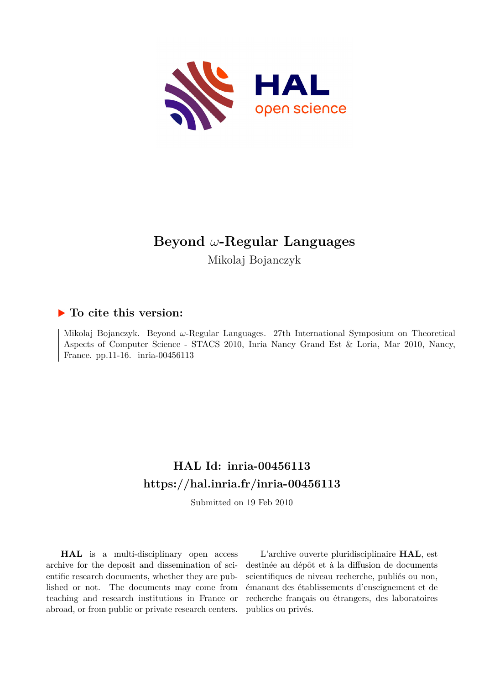

# **Beyond** *ω***-Regular Languages**

Mikolaj Bojanczyk

### **To cite this version:**

Mikolaj Bojanczyk. Beyond *ω*-Regular Languages. 27th International Symposium on Theoretical Aspects of Computer Science - STACS 2010, Inria Nancy Grand Est & Loria, Mar 2010, Nancy, France. pp.11-16. inria-00456113

## **HAL Id: inria-00456113 <https://hal.inria.fr/inria-00456113>**

Submitted on 19 Feb 2010

**HAL** is a multi-disciplinary open access archive for the deposit and dissemination of scientific research documents, whether they are published or not. The documents may come from teaching and research institutions in France or abroad, or from public or private research centers.

L'archive ouverte pluridisciplinaire **HAL**, est destinée au dépôt et à la diffusion de documents scientifiques de niveau recherche, publiés ou non, émanant des établissements d'enseignement et de recherche français ou étrangers, des laboratoires publics ou privés.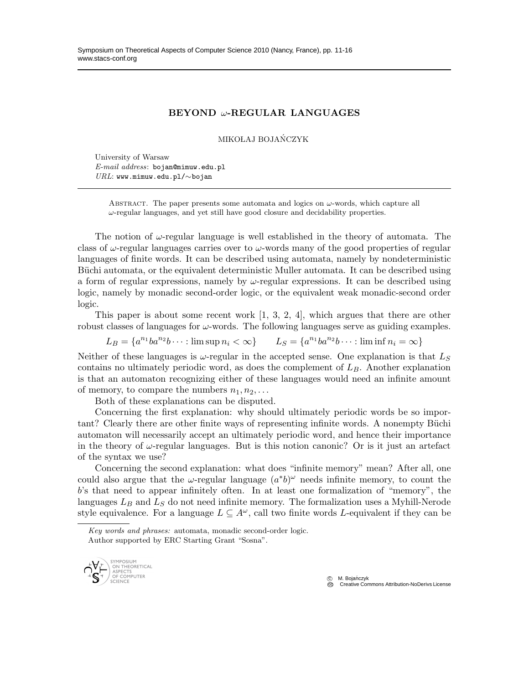#### BEYOND ω-REGULAR LANGUAGES

MIKOŁAJ BOJAŃCZYK

University of Warsaw  $E-mail$   $address:$  bojan@mimuw.edu.pl URL: www.mimuw.edu.pl/∼bojan

> ABSTRACT. The paper presents some automata and logics on  $\omega$ -words, which capture all  $\omega$ -regular languages, and yet still have good closure and decidability properties.

The notion of  $\omega$ -regular language is well established in the theory of automata. The class of  $\omega$ -regular languages carries over to  $\omega$ -words many of the good properties of regular languages of finite words. It can be described using automata, namely by nondeterministic Büchi automata, or the equivalent deterministic Muller automata. It can be described using a form of regular expressions, namely by  $\omega$ -regular expressions. It can be described using logic, namely by monadic second-order logic, or the equivalent weak monadic-second order logic.

This paper is about some recent work  $[1, 3, 2, 4]$ , which argues that there are other robust classes of languages for  $\omega$ -words. The following languages serve as guiding examples.

 $L_B = \{a^{n_1}ba^{n_2}b \cdots : \limsup n_i < \infty\}$   $L_S = \{a^{n_1}ba^{n_2}b \cdots : \liminf n_i = \infty\}$ 

Neither of these languages is  $\omega$ -regular in the accepted sense. One explanation is that  $L_S$ contains no ultimately periodic word, as does the complement of  $L_B$ . Another explanation is that an automaton recognizing either of these languages would need an infinite amount of memory, to compare the numbers  $n_1, n_2, \ldots$ 

Both of these explanations can be disputed.

Concerning the first explanation: why should ultimately periodic words be so important? Clearly there are other finite ways of representing infinite words. A nonempty Büchi automaton will necessarily accept an ultimately periodic word, and hence their importance in the theory of  $\omega$ -regular languages. But is this notion canonic? Or is it just an artefact of the syntax we use?

Concerning the second explanation: what does "infinite memory" mean? After all, one could also argue that the  $\omega$ -regular language  $(a^*b)^\omega$  needs infinite memory, to count the b's that need to appear infinitely often. In at least one formalization of "memory", the languages  $L_B$  and  $L_S$  do not need infinite memory. The formalization uses a Myhill-Nerode style equivalence. For a language  $L \subseteq A^{\omega}$ , call two finite words L-equivalent if they can be

Key words and phrases: automata, monadic second-order logic. Author supported by ERC Starting Grant "Sosna".



© M. Bojańczyk<br>© Creative Commons Attribution-NoDerivs License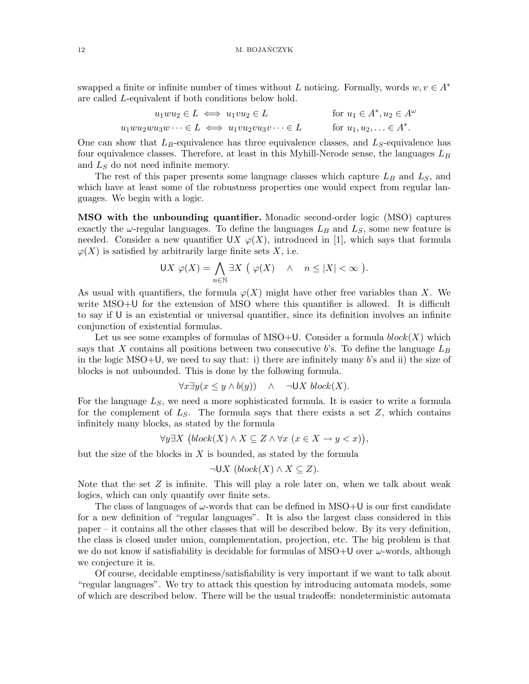swapped a finite or infinite number of times without L noticing. Formally, words  $w, v \in A^*$ are called L-equivalent if both conditions below hold.

$$
u_1 w u_2 \in L \iff u_1 v u_2 \in L \qquad \text{for } u_1 \in A^*, u_2 \in A^\omega
$$

$$
u_1 w u_2 w u_3 w \dots \in L \iff u_1 v u_2 v u_3 v \dots \in L \qquad \text{for } u_1, u_2, \dots \in A^*.
$$

One can show that  $L_B$ -equivalence has three equivalence classes, and  $L_S$ -equivalence has four equivalence classes. Therefore, at least in this Myhill-Nerode sense, the languages  $L_B$ and  $L<sub>S</sub>$  do not need infinite memory.

The rest of this paper presents some language classes which capture  $L_B$  and  $L_S$ , and which have at least some of the robustness properties one would expect from regular languages. We begin with a logic.

MSO with the unbounding quantifier. Monadic second-order logic (MSO) captures exactly the  $\omega$ -regular languages. To define the languages  $L_B$  and  $L_S$ , some new feature is needed. Consider a new quantifier UX  $\varphi(X)$ , introduced in [1], which says that formula  $\varphi(X)$  is satisfied by arbitrarily large finite sets X, i.e.

$$
\mathsf{U} X \varphi(X) = \bigwedge_{n \in \mathbb{N}} \exists X \ (\varphi(X) \land n \le |X| < \infty ).
$$

As usual with quantifiers, the formula  $\varphi(X)$  might have other free variables than X. We write MSO+U for the extension of MSO where this quantifier is allowed. It is difficult to say if U is an existential or universal quantifier, since its definition involves an infinite conjunction of existential formulas.

Let us see some examples of formulas of MSO+U. Consider a formula  $block(X)$  which says that X contains all positions between two consecutive b's. To define the language  $L_B$ in the logic  $MSO+U$ , we need to say that: i) there are infinitely many b's and ii) the size of blocks is not unbounded. This is done by the following formula.

$$
\forall x \exists y (x \le y \land b(y)) \land \neg \mathsf{U} X \ block(X).
$$

For the language  $L<sub>S</sub>$ , we need a more sophisticated formula. It is easier to write a formula for the complement of  $L<sub>S</sub>$ . The formula says that there exists a set  $Z$ , which contains infinitely many blocks, as stated by the formula

$$
\forall y \exists X \ (block(X) \land X \subseteq Z \land \forall x \ (x \in X \to y < x)),
$$

but the size of the blocks in  $X$  is bounded, as stated by the formula

$$
\neg \mathsf{U} X \ (block(X) \land X \subseteq Z).
$$

Note that the set  $Z$  is infinite. This will play a role later on, when we talk about weak logics, which can only quantify over finite sets.

The class of languages of  $\omega$ -words that can be defined in MSO+U is our first candidate for a new definition of "regular languages". It is also the largest class considered in this paper – it contains all the other classes that will be described below. By its very definition, the class is closed under union, complementation, projection, etc. The big problem is that we do not know if satisfiability is decidable for formulas of MSO+U over  $\omega$ -words, although we conjecture it is.

Of course, decidable emptiness/satisfiability is very important if we want to talk about "regular languages". We try to attack this question by introducing automata models, some of which are described below. There will be the usual tradeoffs: nondeterministic automata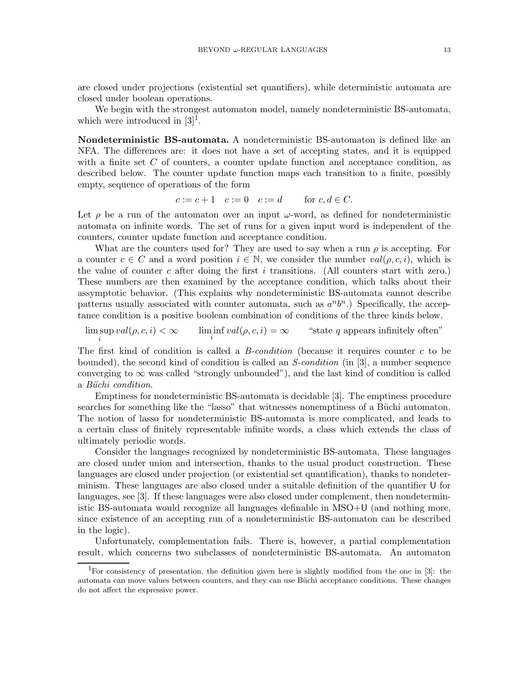are closed under projections (existential set quantifiers), while deterministic automata are closed under boolean operations.

We begin with the strongest automaton model, namely nondeterministic BS-automata, which were introduced in  $[3]$ <sup>1</sup>.

Nondeterministic BS-automata. A nondeterministic BS-automaton is defined like an NFA. The differences are: it does not have a set of accepting states, and it is equipped with a finite set  $C$  of counters, a counter update function and acceptance condition, as described below. The counter update function maps each transition to a finite, possibly empty, sequence of operations of the form

$$
c := c + 1 \quad c := 0 \quad c := d \qquad \text{for } c, d \in C.
$$

Let  $\rho$  be a run of the automaton over an input  $\omega$ -word, as defined for nondeterministic automata on infinite words. The set of runs for a given input word is independent of the counters, counter update function and acceptance condition.

What are the counters used for? They are used to say when a run  $\rho$  is accepting. For a counter  $c \in C$  and a word position  $i \in \mathbb{N}$ , we consider the number  $val(\rho, c, i)$ , which is the value of counter c after doing the first i transitions. (All counters start with zero.) These numbers are then examined by the acceptance condition, which talks about their assymptotic behavior. (This explains why nondeterministic BS-automata cannot describe patterns usually associated with counter automata, such as  $a^n b^n$ .) Specifically, the acceptance condition is a positive boolean combination of conditions of the three kinds below.

 $\limsup_i val(\rho, c, i) < \infty$   $\liminf_i$  $\lim_{i} \text{ind}(\rho, c, i) = \infty$  "state q appears infinitely often"

The first kind of condition is called a *B-condition* (because it requires counter  $c$  to be bounded), the second kind of condition is called an *S-condition* (in [3], a number sequence converging to  $\infty$  was called "strongly unbounded"), and the last kind of condition is called a Büchi condition.

Emptiness for nondeterministic BS-automata is decidable [3]. The emptiness procedure searches for something like the "lasso" that witnesses nonemptiness of a Büchi automaton. The notion of lasso for nondeterministic BS-automata is more complicated, and leads to a certain class of finitely representable infinite words, a class which extends the class of ultimately periodic words.

Consider the languages recognized by nondeterministic BS-automata. These languages are closed under union and intersection, thanks to the usual product construction. These languages are closed under projection (or existential set quantification), thanks to nondeterminism. These languages are also closed under a suitable definition of the quantifier U for languages, see [3]. If these languages were also closed under complement, then nondeterministic BS-automata would recognize all languages definable in MSO+U (and nothing more, since existence of an accepting run of a nondeterministic BS-automaton can be described in the logic).

Unfortunately, complementation fails. There is, however, a partial complementation result, which concerns two subclasses of nondeterministic BS-automata. An automaton

<sup>&</sup>lt;sup>1</sup>For consistency of presentation, the definition given here is slightly modified from the one in [3]: the automata can move values between counters, and they can use Büchi acceptance conditions. These changes do not affect the expressive power.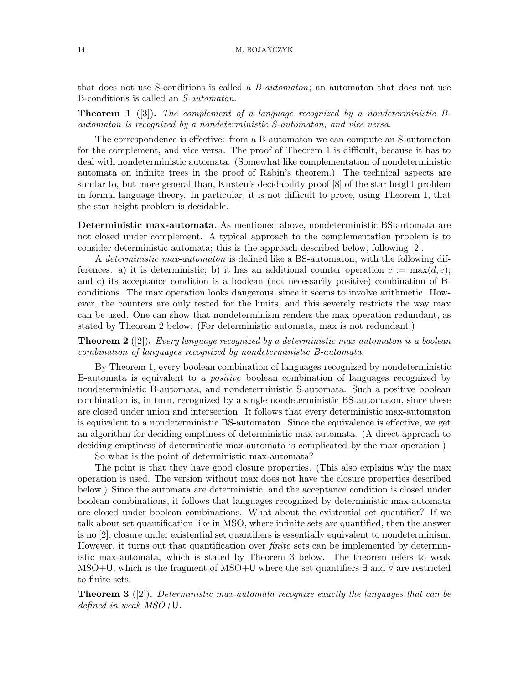that does not use S-conditions is called a *B-automaton*; an automaton that does not use B-conditions is called an S-automaton.

**Theorem 1** ([3]). The complement of a language recognized by a nondeterministic Bautomaton is recognized by a nondeterministic S-automaton, and vice versa.

The correspondence is effective: from a B-automaton we can compute an S-automaton for the complement, and vice versa. The proof of Theorem 1 is difficult, because it has to deal with nondeterministic automata. (Somewhat like complementation of nondeterministic automata on infinite trees in the proof of Rabin's theorem.) The technical aspects are similar to, but more general than, Kirsten's decidability proof [8] of the star height problem in formal language theory. In particular, it is not difficult to prove, using Theorem 1, that the star height problem is decidable.

Deterministic max-automata. As mentioned above, nondeterministic BS-automata are not closed under complement. A typical approach to the complementation problem is to consider deterministic automata; this is the approach described below, following [2].

A deterministic max-automaton is defined like a BS-automaton, with the following differences: a) it is deterministic; b) it has an additional counter operation  $c := \max(d, e);$ and c) its acceptance condition is a boolean (not necessarily positive) combination of Bconditions. The max operation looks dangerous, since it seems to involve arithmetic. However, the counters are only tested for the limits, and this severely restricts the way max can be used. One can show that nondeterminism renders the max operation redundant, as stated by Theorem 2 below. (For deterministic automata, max is not redundant.)

**Theorem 2** ([2]). Every language recognized by a deterministic max-automaton is a boolean combination of languages recognized by nondeterministic B-automata.

By Theorem 1, every boolean combination of languages recognized by nondeterministic B-automata is equivalent to a *positive* boolean combination of languages recognized by nondeterministic B-automata, and nondeterministic S-automata. Such a positive boolean combination is, in turn, recognized by a single nondeterministic BS-automaton, since these are closed under union and intersection. It follows that every deterministic max-automaton is equivalent to a nondeterministic BS-automaton. Since the equivalence is effective, we get an algorithm for deciding emptiness of deterministic max-automata. (A direct approach to deciding emptiness of deterministic max-automata is complicated by the max operation.)

So what is the point of deterministic max-automata?

The point is that they have good closure properties. (This also explains why the max operation is used. The version without max does not have the closure properties described below.) Since the automata are deterministic, and the acceptance condition is closed under boolean combinations, it follows that languages recognized by deterministic max-automata are closed under boolean combinations. What about the existential set quantifier? If we talk about set quantification like in MSO, where infinite sets are quantified, then the answer is no [2]; closure under existential set quantifiers is essentially equivalent to nondeterminism. However, it turns out that quantification over *finite* sets can be implemented by deterministic max-automata, which is stated by Theorem 3 below. The theorem refers to weak MSO+U, which is the fragment of MSO+U where the set quantifiers ∃ and ∀ are restricted to finite sets.

**Theorem 3** ([2]). Deterministic max-automata recognize exactly the languages that can be defined in weak MSO+U.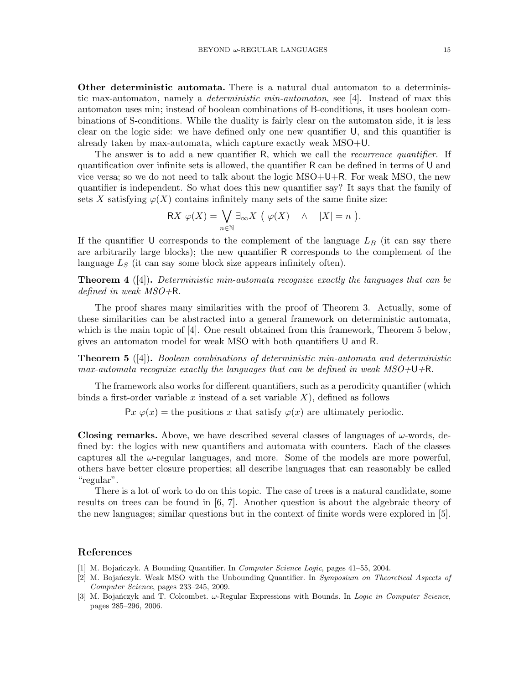Other deterministic automata. There is a natural dual automaton to a deterministic max-automaton, namely a deterministic min-automaton, see [4]. Instead of max this automaton uses min; instead of boolean combinations of B-conditions, it uses boolean combinations of S-conditions. While the duality is fairly clear on the automaton side, it is less clear on the logic side: we have defined only one new quantifier U, and this quantifier is already taken by max-automata, which capture exactly weak MSO+U.

The answer is to add a new quantifier R, which we call the *recurrence quantifier*. If quantification over infinite sets is allowed, the quantifier R can be defined in terms of U and vice versa; so we do not need to talk about the logic MSO+U+R. For weak MSO, the new quantifier is independent. So what does this new quantifier say? It says that the family of sets X satisfying  $\varphi(X)$  contains infinitely many sets of the same finite size:

$$
\mathsf{R} X \varphi(X) = \bigvee_{n \in \mathbb{N}} \exists_{\infty} X \ (\varphi(X) \land |X| = n \).
$$

If the quantifier U corresponds to the complement of the language  $L_B$  (it can say there are arbitrarily large blocks); the new quantifier R corresponds to the complement of the language  $L<sub>S</sub>$  (it can say some block size appears infinitely often).

**Theorem 4** ([4]). Deterministic min-automata recognize exactly the languages that can be defined in weak MSO+R.

The proof shares many similarities with the proof of Theorem 3. Actually, some of these similarities can be abstracted into a general framework on deterministic automata, which is the main topic of [4]. One result obtained from this framework, Theorem 5 below, gives an automaton model for weak MSO with both quantifiers U and R.

**Theorem 5** ([4]). Boolean combinations of deterministic min-automata and deterministic max-automata recognize exactly the languages that can be defined in weak  $MSO+\bigcup +R$ .

The framework also works for different quantifiers, such as a perodicity quantifier (which binds a first-order variable x instead of a set variable  $X$ ), defined as follows

 $Px \varphi(x) =$  the positions x that satisfy  $\varphi(x)$  are ultimately periodic.

**Closing remarks.** Above, we have described several classes of languages of  $\omega$ -words, defined by: the logics with new quantifiers and automata with counters. Each of the classes captures all the  $\omega$ -regular languages, and more. Some of the models are more powerful, others have better closure properties; all describe languages that can reasonably be called "regular".

There is a lot of work to do on this topic. The case of trees is a natural candidate, some results on trees can be found in [6, 7]. Another question is about the algebraic theory of the new languages; similar questions but in the context of finite words were explored in [5].

#### References

- [1] M. Bojanczyk. A Bounding Quantifier. In *Computer Science Logic*, pages 41–55, 2004.
- [2] M. Bojańczyk. Weak MSO with the Unbounding Quantifier. In Symposium on Theoretical Aspects of Computer Science, pages 233–245, 2009.
- [3] M. Bojańczyk and T. Colcombet. ω-Regular Expressions with Bounds. In Logic in Computer Science, pages 285–296, 2006.